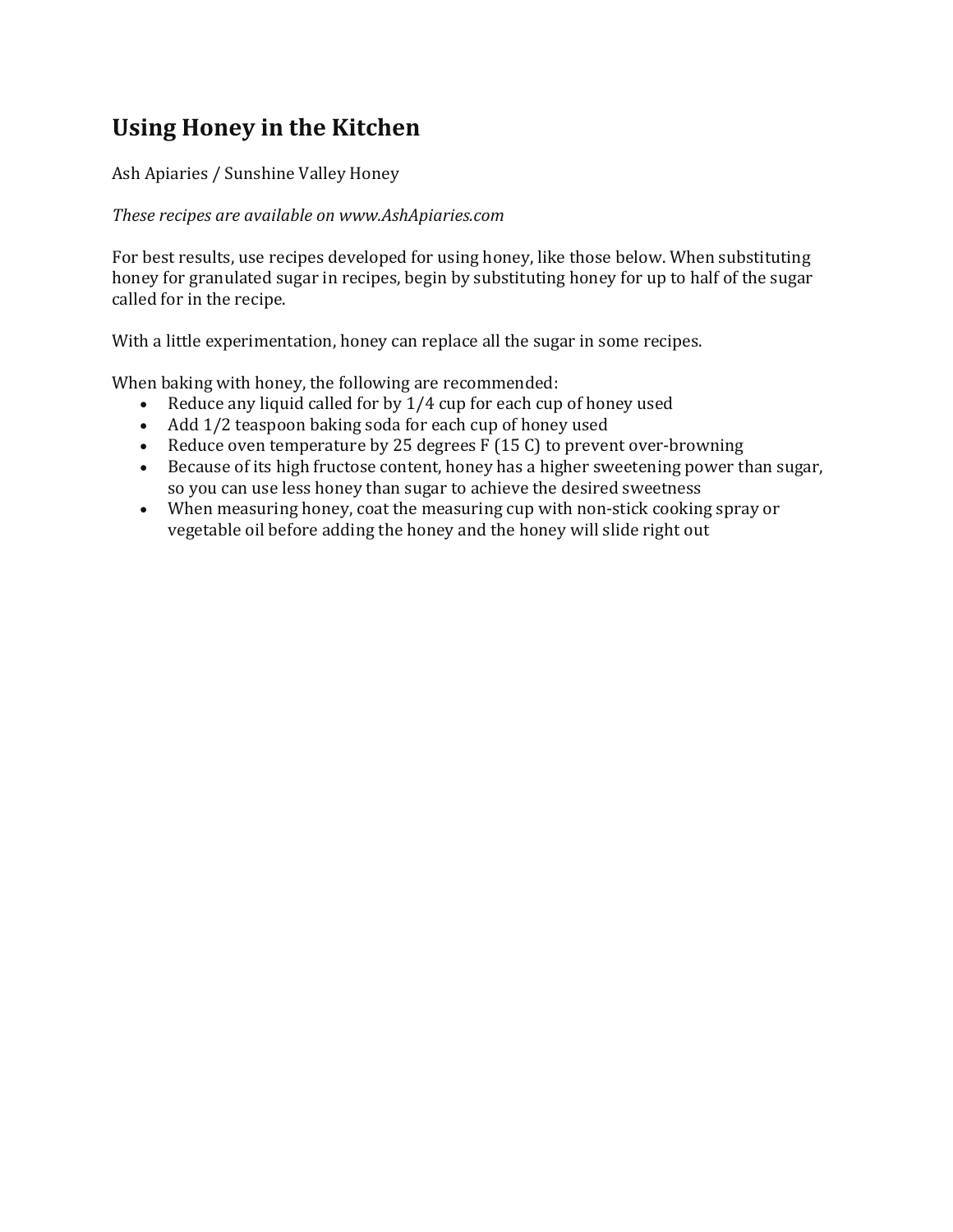# **Using Honey in the Kitchen**

Ash Apiaries / Sunshine Valley Honey

## *These recipes are available on www.AshApiaries.com*

For best results, use recipes developed for using honey, like those below. When substituting honey for granulated sugar in recipes, begin by substituting honey for up to half of the sugar called for in the recipe.

With a little experimentation, honey can replace all the sugar in some recipes.

When baking with honey, the following are recommended:

- Reduce any liquid called for by  $1/4$  cup for each cup of honey used
- Add 1/2 teaspoon baking soda for each cup of honey used
- Reduce oven temperature by 25 degrees  $F(15\,C)$  to prevent over-browning
- Because of its high fructose content, honey has a higher sweetening power than sugar, so you can use less honey than sugar to achieve the desired sweetness
- When measuring honey, coat the measuring cup with non-stick cooking spray or vegetable oil before adding the honey and the honey will slide right out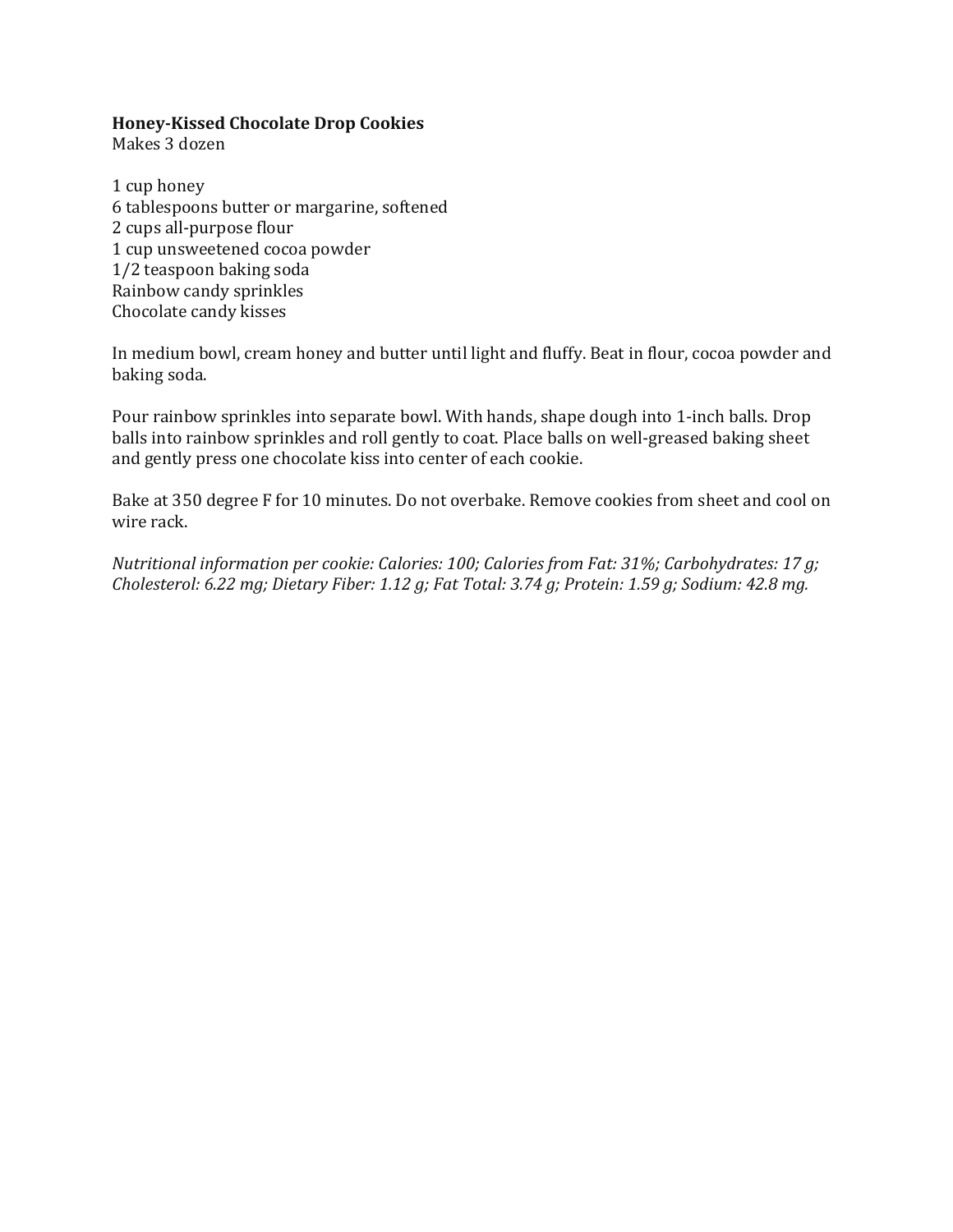#### **Honey‐Kissed Chocolate Drop Cookies**

Makes 3 dozen

1 cup honey 6 tablespoons butter or margarine, softened 2 cups all-purpose flour 1 cup unsweetened cocoa powder 1/2 teaspoon baking soda Rainbow candy sprinkles Chocolate candy kisses

In medium bowl, cream honey and butter until light and fluffy. Beat in flour, cocoa powder and baking soda.

Pour rainbow sprinkles into separate bowl. With hands, shape dough into 1-inch balls. Drop balls into rainbow sprinkles and roll gently to coat. Place balls on well-greased baking sheet and gently press one chocolate kiss into center of each cookie.

Bake at 350 degree F for 10 minutes. Do not overbake. Remove cookies from sheet and cool on wire rack.

*Nutritional information per cookie: Calories: 100; Calories from Fat: 31%; Carbohydrates: 17 g; Cholesterol: 6.22 mg; Dietary Fiber: 1.12 g; Fat Total: 3.74 g; Protein: 1.59 g; Sodium: 42.8 mg.*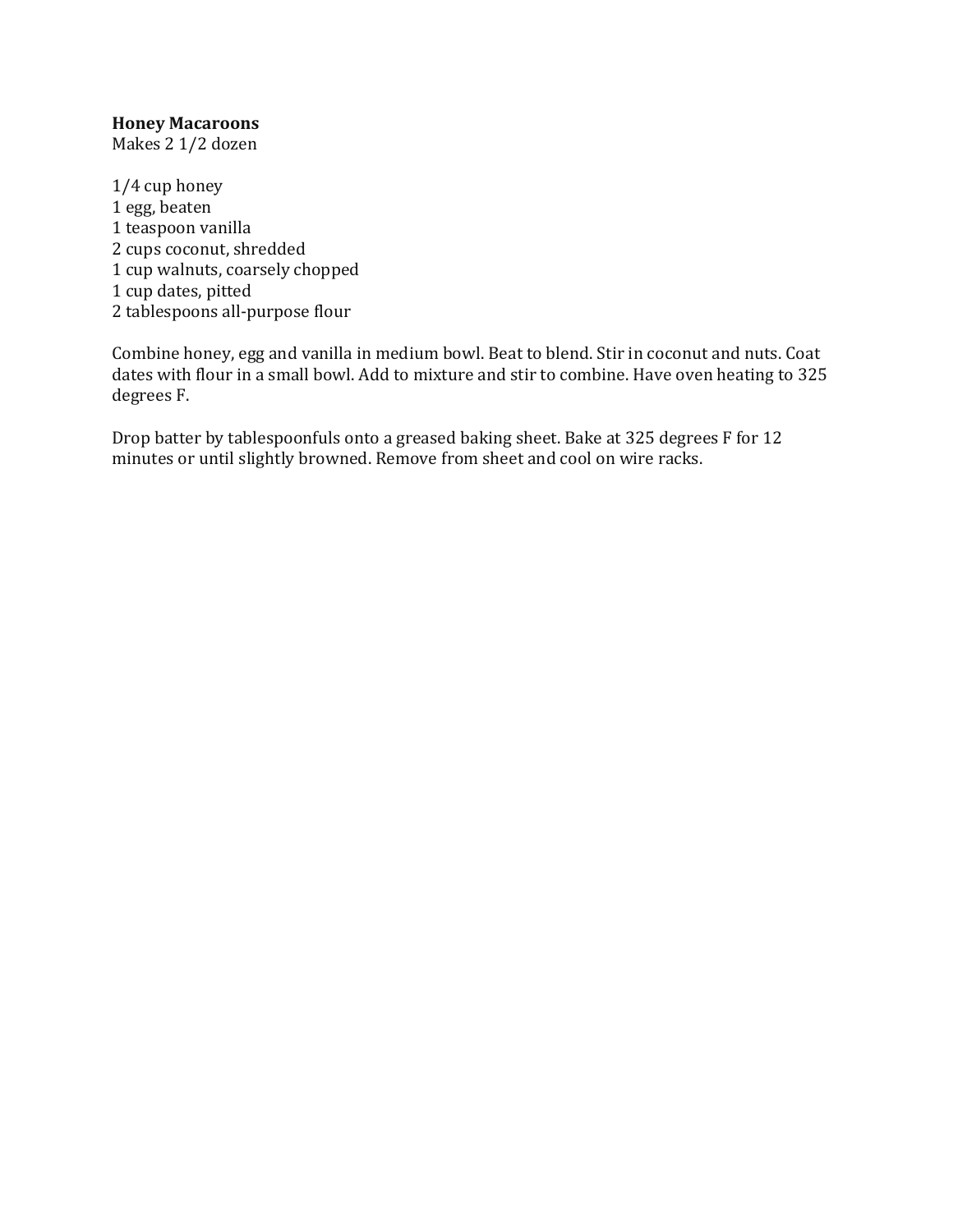## **Honey Macaroons**

Makes 2 1/2 dozen

 $1/4$  cup honey 1 egg, beaten 1 teaspoon vanilla 2 cups coconut, shredded 1 cup walnuts, coarsely chopped 1 cup dates, pitted 2 tablespoons all-purpose flour

Combine honey, egg and vanilla in medium bowl. Beat to blend. Stir in coconut and nuts. Coat dates with flour in a small bowl. Add to mixture and stir to combine. Have oven heating to 325 degrees F.

Drop batter by tablespoonfuls onto a greased baking sheet. Bake at 325 degrees F for 12 minutes or until slightly browned. Remove from sheet and cool on wire racks.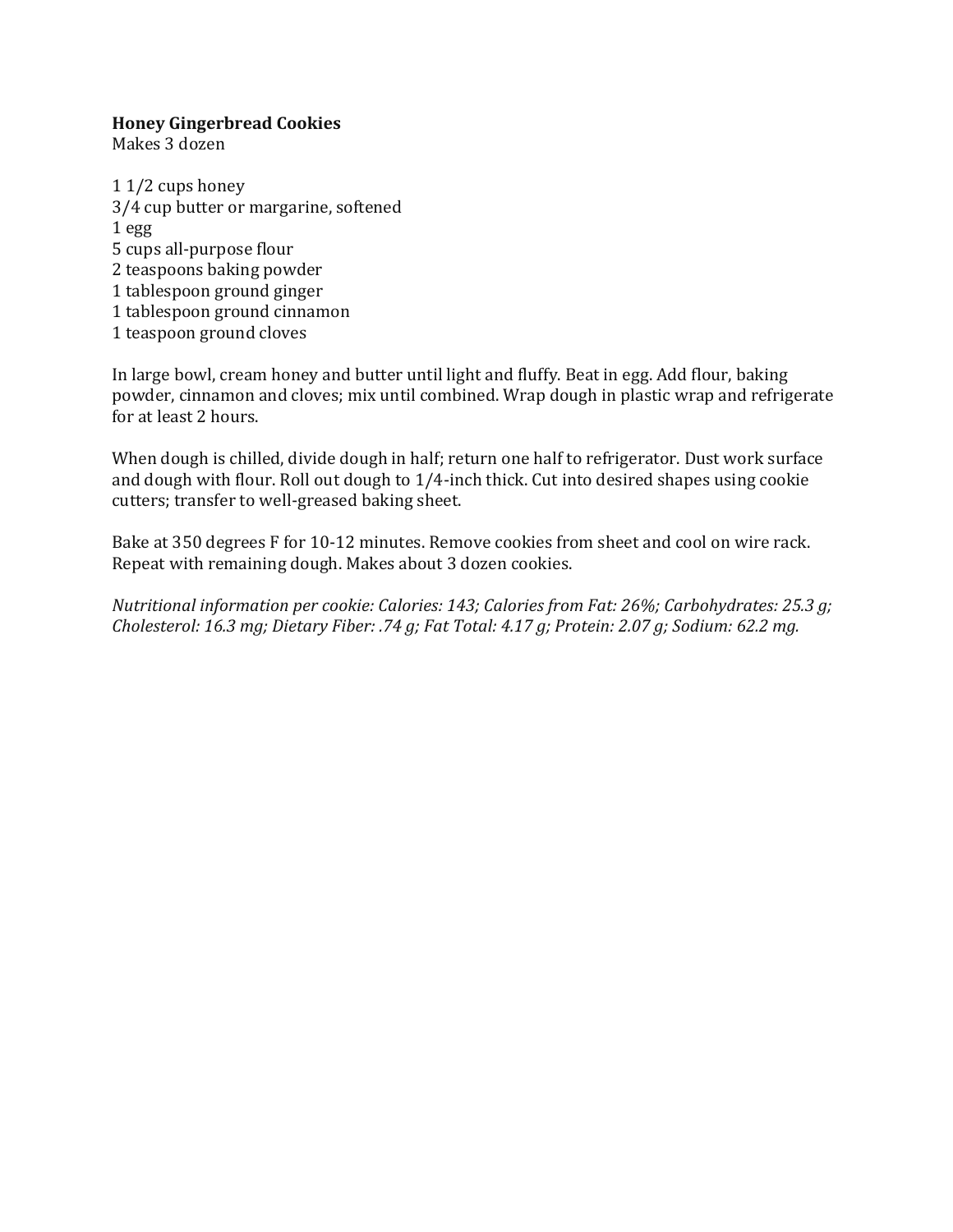#### **Honey Gingerbread Cookies**

Makes 3 dozen

 $11/2$  cups honey 3/4 cup butter or margarine, softened  $1<sub>egg</sub>$ 5 cups all-purpose flour 2 teaspoons baking powder 1 tablespoon ground ginger 1 tablespoon ground cinnamon 1 teaspoon ground cloves

In large bowl, cream honey and butter until light and fluffy. Beat in egg. Add flour, baking powder, cinnamon and cloves; mix until combined. Wrap dough in plastic wrap and refrigerate for at least 2 hours.

When dough is chilled, divide dough in half; return one half to refrigerator. Dust work surface and dough with flour. Roll out dough to  $1/4$ -inch thick. Cut into desired shapes using cookie cutters; transfer to well-greased baking sheet.

Bake at 350 degrees F for 10-12 minutes. Remove cookies from sheet and cool on wire rack. Repeat with remaining dough. Makes about 3 dozen cookies.

*Nutritional information per cookie: Calories: 143; Calories from Fat: 26%; Carbohydrates: 25.3 g; Cholesterol: 16.3 mg; Dietary Fiber: .74 g; Fat Total: 4.17 g; Protein: 2.07 g; Sodium: 62.2 mg.*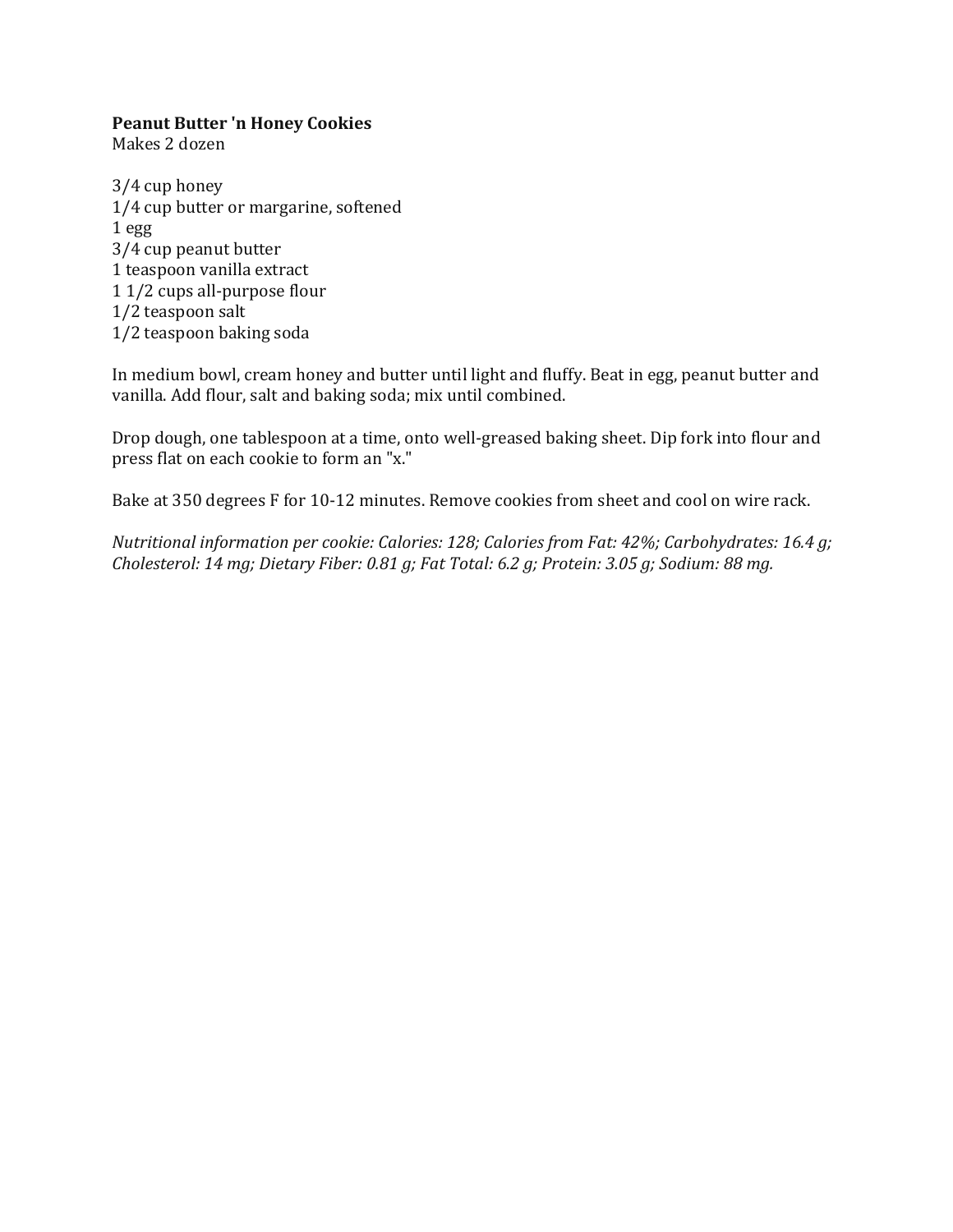#### **Peanut Butter 'n Honey Cookies**

Makes 2 dozen 

 $3/4$  cup honey 1/4 cup butter or margarine, softened  $1<sub>egg</sub>$ 3/4 cup peanut butter 1 teaspoon vanilla extract 1 1/2 cups all-purpose flour 1/2 teaspoon salt 1/2 teaspoon baking soda

In medium bowl, cream honey and butter until light and fluffy. Beat in egg, peanut butter and vanilla. Add flour, salt and baking soda; mix until combined.

Drop dough, one tablespoon at a time, onto well-greased baking sheet. Dip fork into flour and press flat on each cookie to form an "x."

Bake at 350 degrees F for 10-12 minutes. Remove cookies from sheet and cool on wire rack.

*Nutritional information per cookie: Calories: 128; Calories from Fat: 42%; Carbohydrates: 16.4 g; Cholesterol: 14 mg; Dietary Fiber: 0.81 g; Fat Total: 6.2 g; Protein: 3.05 g; Sodium: 88 mg.*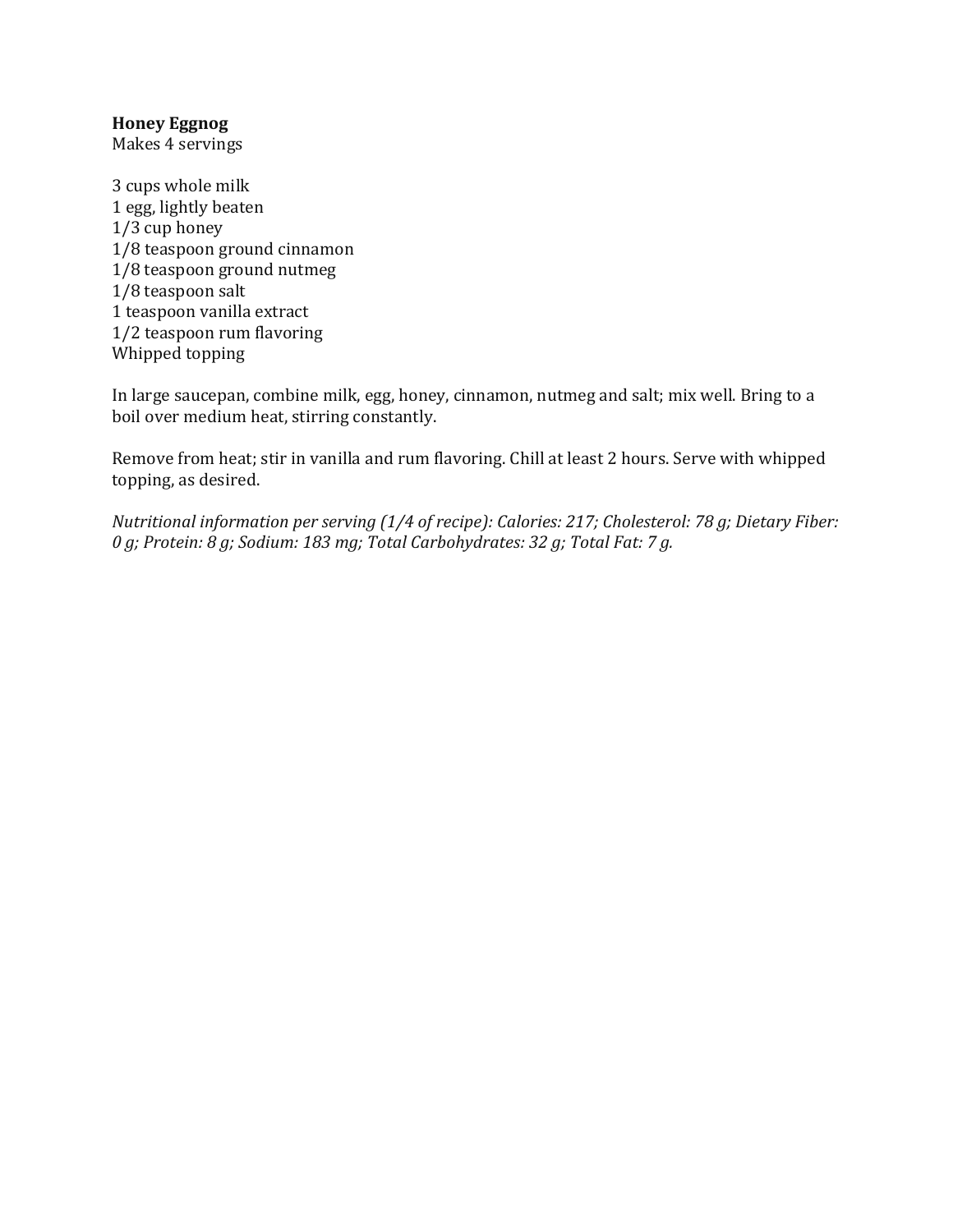## **Honey Eggnog**

Makes 4 servings

3 cups whole milk 1 egg, lightly beaten  $1/3$  cup honey 1/8 teaspoon ground cinnamon 1/8 teaspoon ground nutmeg 1/8 teaspoon salt 1 teaspoon vanilla extract 1/2 teaspoon rum flavoring Whipped topping

In large saucepan, combine milk, egg, honey, cinnamon, nutmeg and salt; mix well. Bring to a boil over medium heat, stirring constantly.

Remove from heat; stir in vanilla and rum flavoring. Chill at least 2 hours. Serve with whipped topping, as desired.

*Nutritional information per serving (1/4 of recipe): Calories: 217; Cholesterol: 78 g; Dietary Fiber: 0 g; Protein: 8 g; Sodium: 183 mg; Total Carbohydrates: 32 g; Total Fat: 7 g.*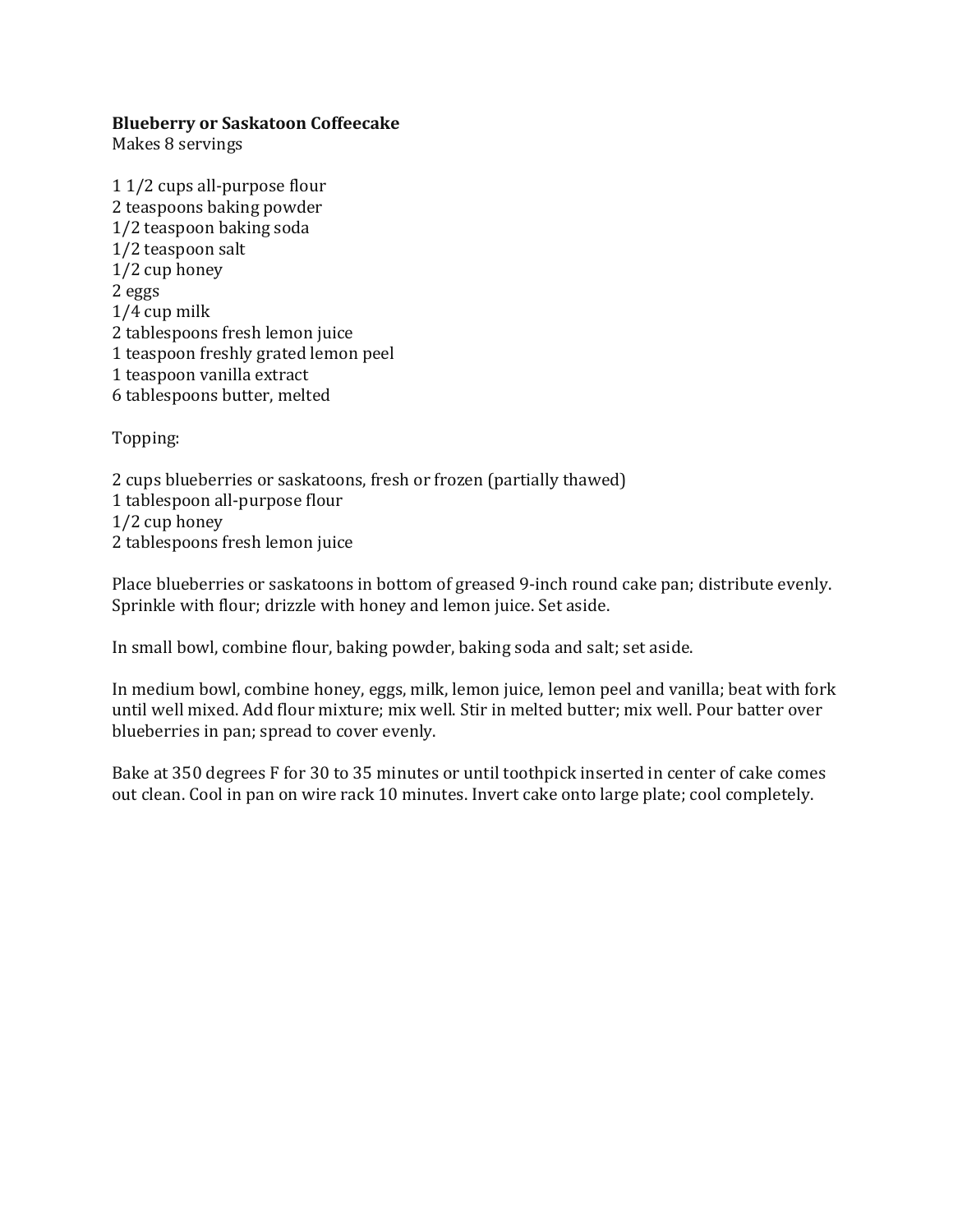## **Blueberry or Saskatoon Coffeecake**

Makes 8 servings

1 1/2 cups all-purpose flour 2 teaspoons baking powder 1/2 teaspoon baking soda 1/2 teaspoon salt  $1/2$  cup honey 2 eggs  $1/4$  cup milk 2 tablespoons fresh lemon juice 1 teaspoon freshly grated lemon peel 1 teaspoon vanilla extract 6 tablespoons butter, melted 

Topping: 

2 cups blueberries or saskatoons, fresh or frozen (partially thawed) 1 tablespoon all-purpose flour  $1/2$  cup honey 2 tablespoons fresh lemon juice

Place blueberries or saskatoons in bottom of greased 9-inch round cake pan; distribute evenly. Sprinkle with flour; drizzle with honey and lemon juice. Set aside.

In small bowl, combine flour, baking powder, baking soda and salt; set aside.

In medium bowl, combine honey, eggs, milk, lemon juice, lemon peel and vanilla; beat with fork until well mixed. Add flour mixture; mix well. Stir in melted butter; mix well. Pour batter over blueberries in pan; spread to cover evenly.

Bake at 350 degrees F for 30 to 35 minutes or until toothpick inserted in center of cake comes out clean. Cool in pan on wire rack 10 minutes. Invert cake onto large plate; cool completely.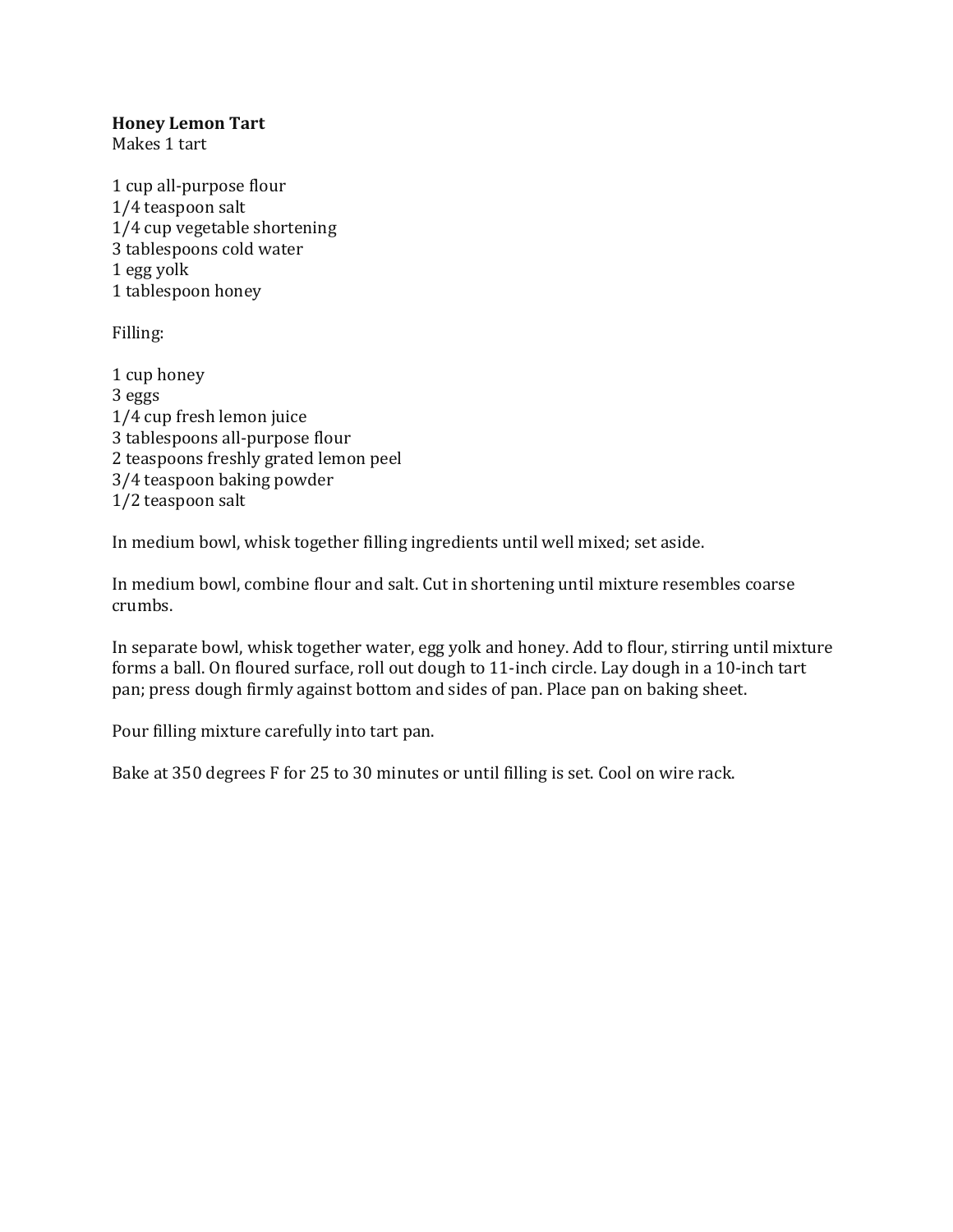## **Honey Lemon Tart**

Makes 1 tart

1 cup all-purpose flour 1/4 teaspoon salt 1/4 cup vegetable shortening 3 tablespoons cold water 1 egg yolk 1 tablespoon honey

Filling: 

1 cup honey 3 eggs 1/4 cup fresh lemon juice 3 tablespoons all-purpose flour 2 teaspoons freshly grated lemon peel 3/4 teaspoon baking powder 1/2 teaspoon salt

In medium bowl, whisk together filling ingredients until well mixed; set aside.

In medium bowl, combine flour and salt. Cut in shortening until mixture resembles coarse crumbs. 

In separate bowl, whisk together water, egg yolk and honey. Add to flour, stirring until mixture forms a ball. On floured surface, roll out dough to 11-inch circle. Lay dough in a 10-inch tart pan; press dough firmly against bottom and sides of pan. Place pan on baking sheet.

Pour filling mixture carefully into tart pan.

Bake at 350 degrees F for 25 to 30 minutes or until filling is set. Cool on wire rack.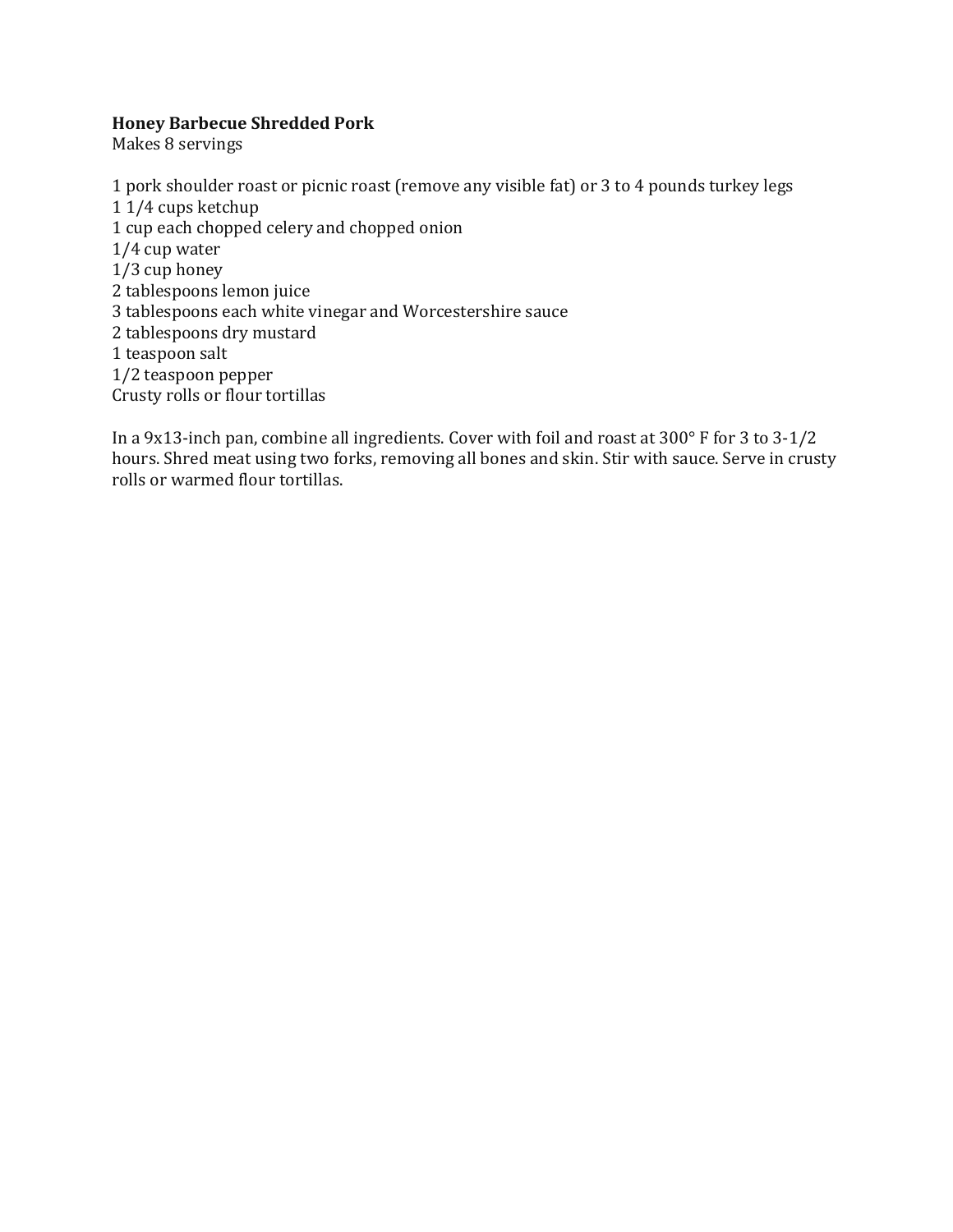#### **Honey Barbecue Shredded Pork**

Makes 8 servings

1 pork shoulder roast or picnic roast (remove any visible fat) or 3 to 4 pounds turkey legs 1 1/4 cups ketchup 1 cup each chopped celery and chopped onion  $1/4$  cup water  $1/3$  cup honey 2 tablespoons lemon juice 3 tablespoons each white vinegar and Worcestershire sauce 2 tablespoons dry mustard 1 teaspoon salt 1/2 teaspoon pepper Crusty rolls or flour tortillas

In a 9x13-inch pan, combine all ingredients. Cover with foil and roast at  $300^{\circ}$  F for 3 to 3-1/2 hours. Shred meat using two forks, removing all bones and skin. Stir with sauce. Serve in crusty rolls or warmed flour tortillas.